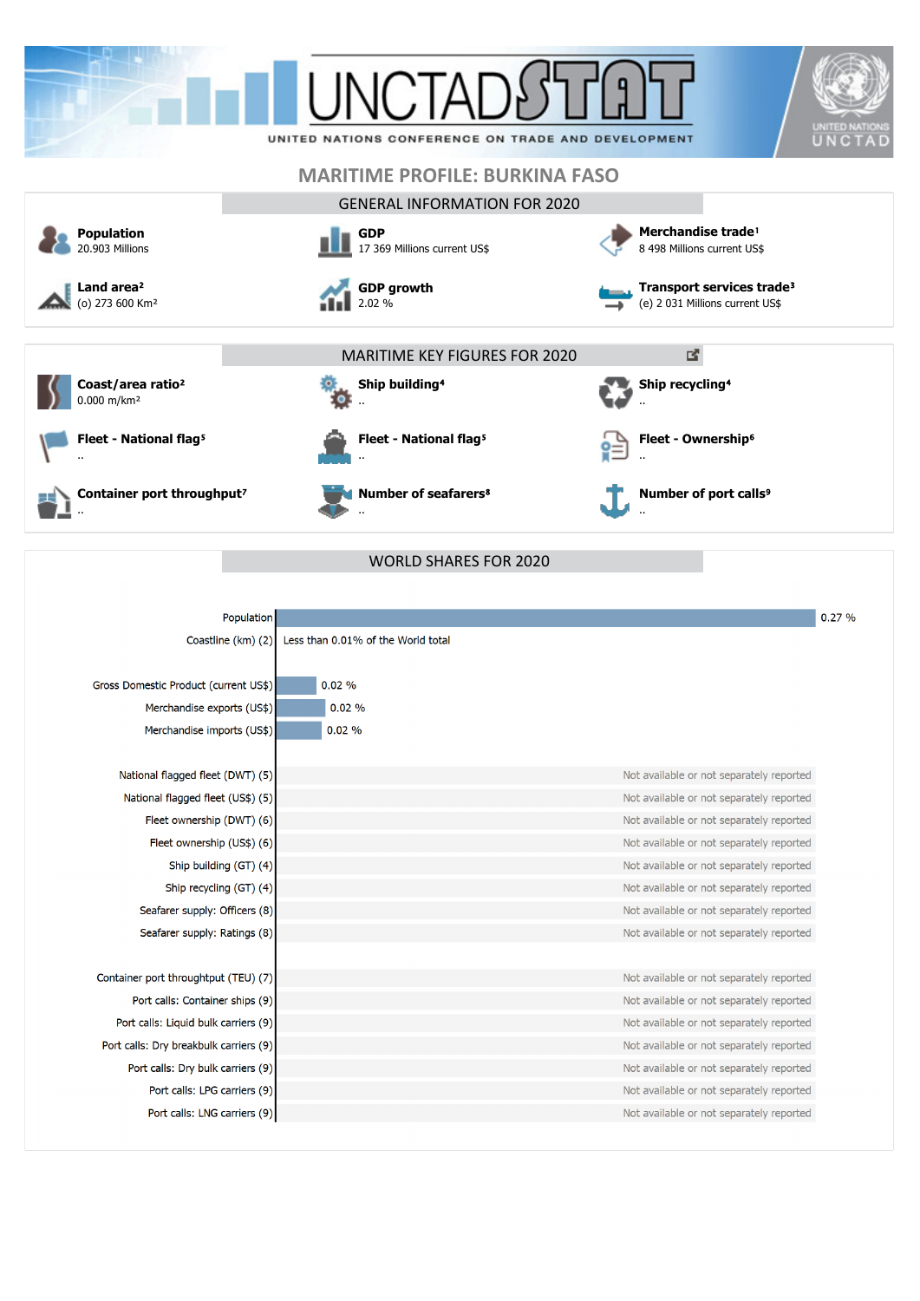







**Container port throughput?** ..



 $\frac{1}{2.02\%}$ 

**GDP growth**



**Fleet - National flag<sup>5</sup>** ..

**Number of seafarers**⁸ ..

**Ship recycling<sup>4</sup>** .. **Fleet - Ownership**⁶ È

..

..

**Number of port calls<sup>9</sup>** 

**Transport services trade**³ (e) 2 031 Millions current US\$

図

|                                        | <b>WORLD SHARES FOR 2020</b>             |       |
|----------------------------------------|------------------------------------------|-------|
|                                        |                                          |       |
| <b>Population</b>                      |                                          | 0.27% |
| Coastline (km) (2)                     | Less than 0.01% of the World total       |       |
|                                        |                                          |       |
| Gross Domestic Product (current US\$)  | 0.02%                                    |       |
| Merchandise exports (US\$)             | 0.02%                                    |       |
| Merchandise imports (US\$)             | 0.02%                                    |       |
|                                        |                                          |       |
| National flagged fleet (DWT) (5)       | Not available or not separately reported |       |
| National flagged fleet (US\$) (5)      | Not available or not separately reported |       |
| Fleet ownership (DWT) (6)              | Not available or not separately reported |       |
| Fleet ownership (US\$) (6)             | Not available or not separately reported |       |
| Ship building (GT) (4)                 | Not available or not separately reported |       |
| Ship recycling (GT) (4)                | Not available or not separately reported |       |
| Seafarer supply: Officers (8)          | Not available or not separately reported |       |
| Seafarer supply: Ratings (8)           | Not available or not separately reported |       |
|                                        |                                          |       |
| Container port throughtput (TEU) (7)   | Not available or not separately reported |       |
| Port calls: Container ships (9)        | Not available or not separately reported |       |
| Port calls: Liquid bulk carriers (9)   | Not available or not separately reported |       |
| Port calls: Dry breakbulk carriers (9) | Not available or not separately reported |       |
| Port calls: Dry bulk carriers (9)      | Not available or not separately reported |       |
| Port calls: LPG carriers (9)           | Not available or not separately reported |       |
| Port calls: LNG carriers (9)           | Not available or not separately reported |       |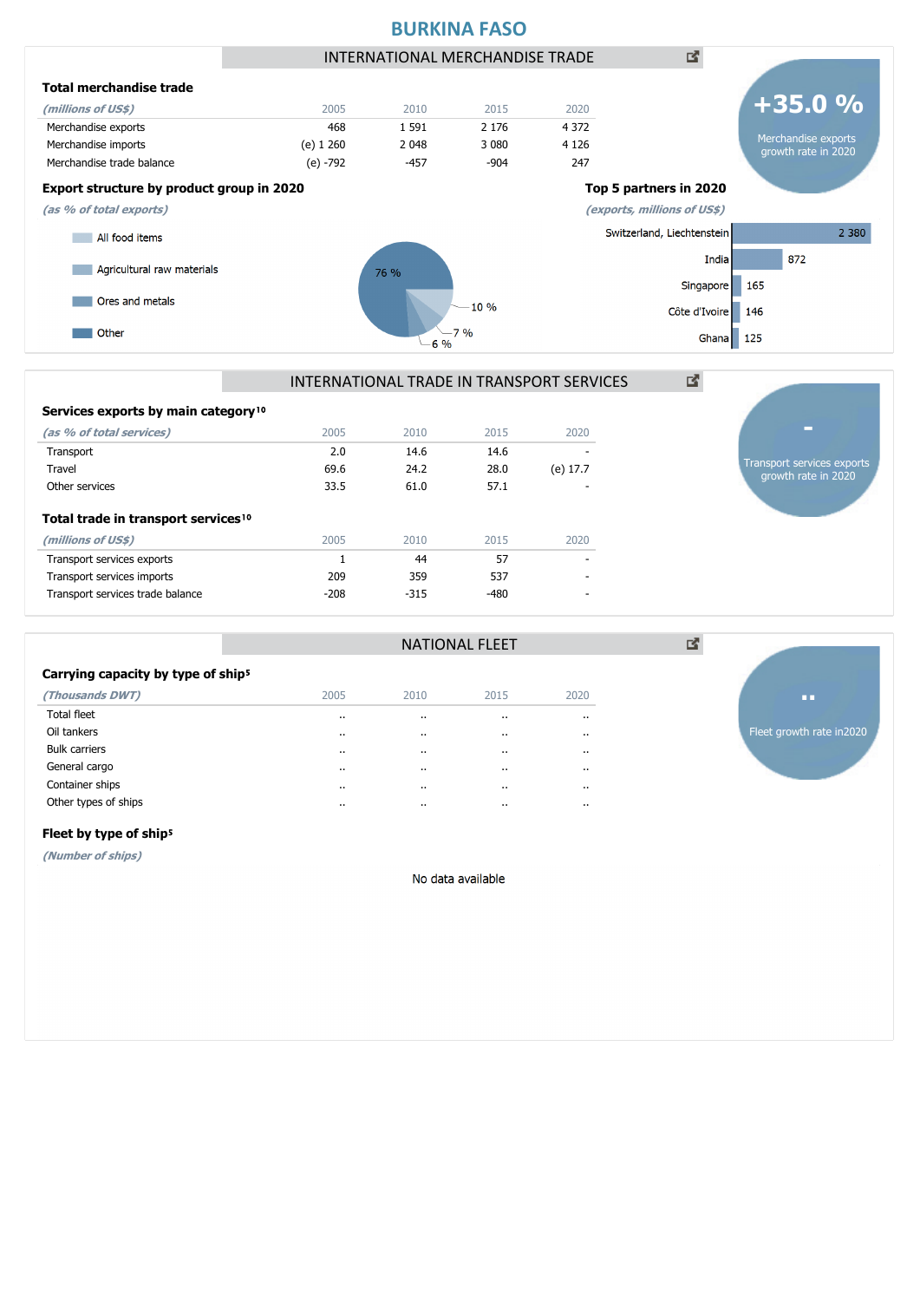

#### Services exports by main category<sup>10</sup> **(as % of total services)** 2005 2010 2015 2020

| (as % or total services)                        | ZUUS   | ZUIU   | 2015   | ZUZU     |
|-------------------------------------------------|--------|--------|--------|----------|
| Transport                                       | 2.0    | 14.6   | 14.6   |          |
| Travel                                          | 69.6   | 24.2   | 28.0   | (e) 17.7 |
| Other services                                  | 33.5   | 61.0   | 57.1   |          |
| Total trade in transport services <sup>10</sup> |        |        |        |          |
| (millions of US\$)                              | 2005   | 2010   | 2015   | 2020     |
| Transport services exports                      |        | 44     | 57     |          |
| Transport services imports                      | 209    | 359    | 537    | ۰        |
| Transport services trade balance                | $-208$ | $-315$ | $-480$ |          |
|                                                 |        |        |        |          |

| Transport services exports<br>growth rate in 2020 |
|---------------------------------------------------|
|                                                   |
|                                                   |

vth rate in2020

|                                                |          | <b>NATIONAL FLEET</b> |          |                      |            |  |  |  |
|------------------------------------------------|----------|-----------------------|----------|----------------------|------------|--|--|--|
| Carrying capacity by type of ship <sup>5</sup> |          |                       |          |                      |            |  |  |  |
| (Thousands DWT)                                | 2005     | 2010                  | 2015     | 2020                 |            |  |  |  |
| Total fleet                                    | $\cdots$ | $\cdots$              | $\cdots$ | $\cdots$             |            |  |  |  |
| Oil tankers                                    | $\cdots$ |                       | $\cdots$ | $\cdots$             | Fleet grov |  |  |  |
| <b>Bulk carriers</b>                           | $\cdots$ |                       | $\cdots$ | $\cdots$             |            |  |  |  |
| General cargo                                  | $\cdots$ | $\cdot$               | $\cdot$  | $\ddot{\phantom{a}}$ |            |  |  |  |
| Container ships                                | $\cdots$ |                       | $\cdots$ | $\cdots$             |            |  |  |  |
| Other types of ships                           | $\cdots$ | $\cdots$              | $\cdots$ | $\cdots$             |            |  |  |  |

### Fleet by type of ship<sup>5</sup>

**(Number of ships)**

No data available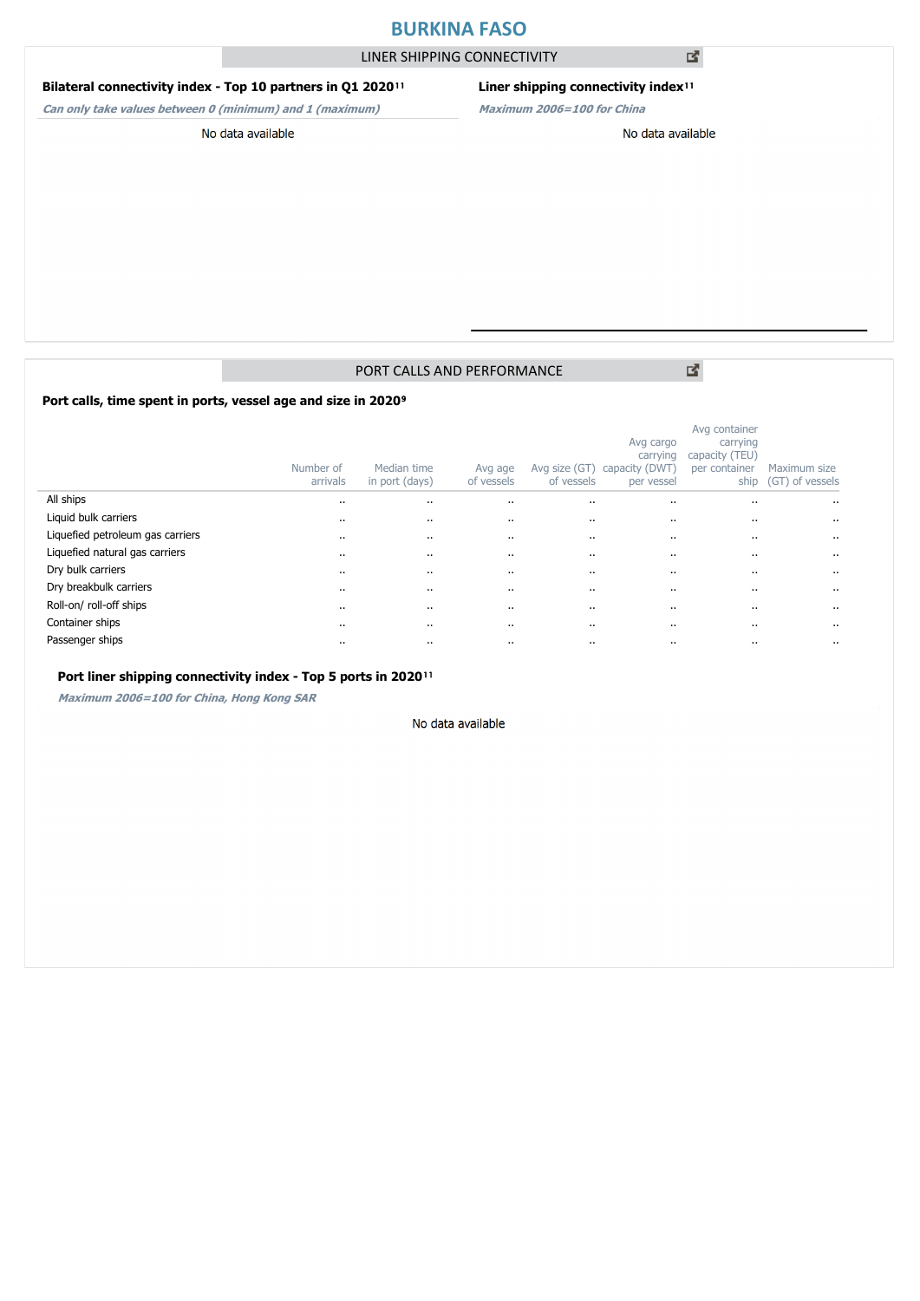# **BURKINA FASO**

LINER SHIPPING CONNECTIVITY

# **Bilateral connectivity index - Top 10 partners in Q1 2020**<sup>11</sup>

**Can only take values between 0 (minimum) and 1 (maximum)**

# **Liner shipping connectivity index**<sup>11</sup>

**Maximum 2006=100 for China**

#### No data available

### No data available

# PORT CALLS AND PERFORMANCE

Port calls, time spent in ports, vessel age and size in 2020<sup>9</sup>

|                                  | Number of<br>arrivals | Median time<br>in port (days) | Avg age<br>of vessels | Avg size (GT)<br>of vessels | Avg cargo<br>carrying<br>capacity (DWT)<br>per vessel | Avg container<br>carrying<br>capacity (TEU)<br>per container<br>ship | Maximum size<br>(GT) of vessels |
|----------------------------------|-----------------------|-------------------------------|-----------------------|-----------------------------|-------------------------------------------------------|----------------------------------------------------------------------|---------------------------------|
| All ships                        | $\cdots$              | $\cdots$                      | $\cdot$ .             | $\ddotsc$                   | $\ddotsc$                                             | $\cdots$                                                             | $\cdots$                        |
| Liquid bulk carriers             | $\cdots$              | $\cdots$                      | $\cdots$              |                             |                                                       | $\cdots$                                                             | $\cdots$                        |
| Liquefied petroleum gas carriers | $\cdots$              | $\cdots$                      | $\cdots$              |                             |                                                       |                                                                      | $\ddotsc$                       |
| Liquefied natural gas carriers   | $\cdots$              | $\cdots$                      | $\cdots$              |                             |                                                       | $\cdots$                                                             | $\cdots$                        |
| Dry bulk carriers                | $\cdots$              | $\cdots$                      | $\cdot$ .             | $\cdots$                    | $\ddotsc$                                             | $\cdot$ .                                                            | $\ddotsc$                       |
| Dry breakbulk carriers           | $\cdots$              |                               | $\cdots$              | $\cdots$                    | $\cdots$                                              | $\cdots$                                                             | $\cdots$                        |
| Roll-on/roll-off ships           | $\cdot$ .             | $\cdots$                      | $\cdot$ .             | $\cdots$                    | $\ddotsc$                                             | $\cdots$                                                             | $\ddotsc$                       |
| Container ships                  | $\cdots$              |                               | $\cdots$              |                             | $\cdots$                                              | $\cdots$                                                             | $\cdots$                        |
| Passenger ships                  | $\cdot$ .             | $\cdots$                      | $\ddot{\phantom{0}}$  | $\cdots$                    | $\ddot{\phantom{0}}$                                  |                                                                      | $\ddot{\phantom{0}}$            |

## Port liner shipping connectivity index - Top 5 ports in 2020<sup>11</sup>

**Maximum 2006=100 for China, Hong Kong SAR**

### No data available

図

図